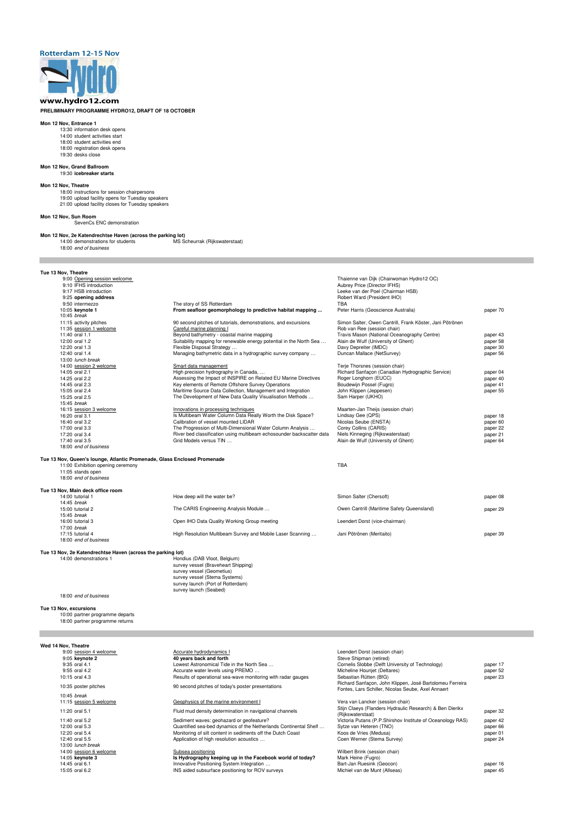# **Rotterdam 12-15 Nov**



### **PRELIMINARY PROGRAMME HYDRO12, DRAFT OF 18 OCTOBER**

#### **Mon 12 Nov, Entrance 1**

- 13:30 information desk opens
- 14:00 student activities start
- 18:00 student activities end
- 18:00 registration desk opens
- 19:30 desks close

#### **Mon 12 Nov, Grand Ballroom** 19:30 **icebreaker starts**

### **Mon 12 Nov, Theatre**

**Mon 12 Nov, 2e Katendrechtse Haven (across the parking lot)**<br>14:00 demonstrations for students MS Scheurrak (Rijkswaterstaat) 14:00 demonstrations for students 18:00 end of business

18:00 instructions for session chairpersons 19:00 upload facility opens for Tuesday speakers 21:00 upload facility closes for Tuesday speakers

### **Mon 12 Nov, Sun Room**

SevenCs ENC demonstration

### **Tue 13 Nov, Theatre**

| 9:00 Opening session welcome<br>9:10 IFHS introduction<br>9:17 HSB introduction<br>9:25 opening address |                                                                       | Thaienne van Dijk (Chairwoman Hydro12 OC)<br>Aubrey Price (Director IFHS)<br>Leeke van der Poel (Chairman HSB)<br>Robert Ward (President IHO) |          |
|---------------------------------------------------------------------------------------------------------|-----------------------------------------------------------------------|-----------------------------------------------------------------------------------------------------------------------------------------------|----------|
| 9:50 intermezzo                                                                                         | The story of SS Rotterdam                                             | TBA                                                                                                                                           |          |
| 10:05 keynote 1<br>10:45 break                                                                          | From seafloor geomorphology to predictive habitat mapping             | Peter Harris (Geoscience Australia)                                                                                                           | paper 70 |
| 11:15 activity pitches                                                                                  | 90 second pitches of tutorials, demonstrations, and excursions        | Simon Salter, Owen Cantrill, Frank Köster, Jani Pötrönen                                                                                      |          |
| 11:35 session 1 welcome                                                                                 | Careful marine planning I                                             | Rob van Ree (session chair)                                                                                                                   |          |
| 11:40 oral 1.1                                                                                          | Beyond bathymetry - coastal marine mapping                            | Travis Mason (National Oceanography Centre)                                                                                                   | paper 43 |
| 12:00 oral 1.2                                                                                          | Suitability mapping for renewable energy potential in the North Sea   | Alain de Wulf (University of Ghent)                                                                                                           | paper 58 |
| 12:20 oral 1.3                                                                                          | Flexible Disposal Strategy                                            | Davy Depreiter (IMDC)                                                                                                                         | paper 30 |
| 12:40 oral 1.4                                                                                          | Managing bathymetric data in a hydrographic survey company            | Duncan Mallace (NetSurvey)                                                                                                                    | paper 56 |
| 13:00 lunch break                                                                                       |                                                                       |                                                                                                                                               |          |
| 14:00 session 2 welcome                                                                                 | Smart data management                                                 | Terje Thorsnes (session chair)                                                                                                                |          |
| 14:05 oral 2.1                                                                                          | High precision hydrography in Canada,                                 | Richard Sanfaçon (Canadian Hydrographic Service)                                                                                              | paper 04 |
| 14:25 oral 2.2                                                                                          | Assessing the Impact of INSPIRE on Related EU Marine Directives       | Roger Longhorn (EUCC)                                                                                                                         | paper 40 |
| 14:45 oral 2.3                                                                                          | Key elements of Remote Offshore Survey Operations                     | Boudewijn Possel (Fugro)                                                                                                                      | paper 41 |
| 15:05 oral 2.4                                                                                          | Maritime Source Data Collection, Management and Integration           | John Klippen (Jeppesen)                                                                                                                       | paper 55 |
| 15:25 oral 2.5                                                                                          | The Development of New Data Quality Visualisation Methods             | Sam Harper (UKHO)                                                                                                                             |          |
| 15:45 break                                                                                             |                                                                       |                                                                                                                                               |          |
| 16:15 session 3 welcome                                                                                 | Innovations in processing techniques                                  | Maarten-Jan Theijs (session chair)                                                                                                            |          |
| 16:20 oral 3.1                                                                                          | Is Multibeam Water Column Data Really Worth the Disk Space?           | Lindsay Gee (QPS)                                                                                                                             | paper 18 |
| 16:40 oral 3.2                                                                                          | Calibration of vessel mounted LIDAR                                   | Nicolas Seube (ENSTA)                                                                                                                         | paper 60 |
| 17:00 oral 3.3                                                                                          | The Progression of Multi-Dimensional Water Column Analysis            | Corey Collins (CARIS)                                                                                                                         | paper 22 |
| 17:20 oral 3.4                                                                                          | River bed classification using multibeam echosounder backscatter data | Niels Kinneging (Rijkswaterstaat)                                                                                                             | paper 21 |
| 17:40 oral 3.5                                                                                          | Grid Models versus TIN                                                | Alain de Wulf (University of Ghent)                                                                                                           | paper 64 |
| 18:00 end of business                                                                                   |                                                                       |                                                                                                                                               |          |
| Tue 13 Nov, Queen's lounge, Atlantic Promenade, Glass Enclosed Promenade                                |                                                                       |                                                                                                                                               |          |
| 11:00 Exhibition opening ceremony                                                                       |                                                                       | <b>TBA</b>                                                                                                                                    |          |
| 11:05 stands open                                                                                       |                                                                       |                                                                                                                                               |          |
| 18:00 end of business                                                                                   |                                                                       |                                                                                                                                               |          |
| Tue 13 Nov, Main deck office room                                                                       |                                                                       |                                                                                                                                               |          |

14:00 demonstrations 1 Hondius (DAB Vloot, Belgium) survey vessel (Braveheart Shipping) survey vessel (Geometius) survey vessel (Stema Systems) survey launch (Port of Rotterdam) survey launch (Seabed)

| Tue 13 Nov, Main deck office room |                                                            |                                            |          |
|-----------------------------------|------------------------------------------------------------|--------------------------------------------|----------|
| 14:00 tutorial 1                  | How deep will the water be?                                | Simon Salter (Chersoft)                    | paper 08 |
| 14:45 break                       |                                                            |                                            |          |
| 15:00 tutorial 2                  | The CARIS Engineering Analysis Module                      | Owen Cantrill (Maritime Safety Queensland) | paper 29 |
| 15:45 break                       |                                                            |                                            |          |
| 16:00 tutorial 3                  | Open IHO Data Quality Working Group meeting                | Leendert Dorst (vice-chairman)             |          |
| 17:00 break                       |                                                            |                                            |          |
| 17:15 tutorial 4                  | High Resolution Multibeam Survey and Mobile Laser Scanning | Jani Pötrönen (Meritaito)                  | paper 39 |
| 18:00 end of business             |                                                            |                                            |          |
|                                   |                                                            |                                            |          |

#### **Tue 13 Nov, 2e Katendrechtse Haven (across the parking lot)**

18:00 end of business

**Tue 13 Nov, excursions** 10:00 partner programme departs

#### **Wed 14 Nov, Theatre**

| 9:00 session 4 welcome  | Accurate hydrodynamics I                                         | Leendert Dorst (session chair)                             |          |
|-------------------------|------------------------------------------------------------------|------------------------------------------------------------|----------|
| 9:05 keynote 2          | 40 years back and forth                                          | Steve Shipman (retired)                                    |          |
| 9:35 oral 4.1           | Lowest Astronomical Tide in the North Sea                        | Cornelis Slobbe (Delft University of Technology)           | paper 17 |
| 9:55 oral 4.2           | Accurate water levels using PREMO                                | Micheline Houniet (Deltares)                               | paper 52 |
| 10:15 oral 4.3          | Results of operational sea-wave monitoring with radar gauges     | Sebastian Rütten (BfG)                                     | paper 23 |
|                         |                                                                  | Richard Sanfaçon, John Klippen, José Bartolomeu Ferreira   |          |
| 10:35 poster pitches    | 90 second pitches of today's poster presentations                | Fontes, Lars Schiller, Nicolas Seube, Axel Annaert         |          |
| 10:45 break             |                                                                  |                                                            |          |
| 11:15 session 5 welcome | Geophysics of the marine environment I                           | Vera van Lancker (session chair)                           |          |
| 11:20 oral 5.1          | Fluid mud density determination in navigational channels         | Stijn Claeys (Flanders Hydraulic Research) & Ben Dierikx   | paper 32 |
|                         |                                                                  | (Rijkswaterstaat)                                          |          |
| 11:40 oral 5.2          | Sediment waves: geohazard or geofeature?                         | Victoria Putans (P.P.Shirshov Institute of Oceanology RAS) | paper 42 |
| 12:00 oral 5.3          | Quantified sea-bed dynamics of the Netherlands Continental Shelf | Sytze van Heteren (TNO)                                    | paper 66 |
| 12:20 oral 5.4          | Monitoring of silt content in sediments off the Dutch Coast      | Koos de Vries (Medusa)                                     | paper 01 |
| 12:40 oral 5.5          | Application of high resolution acoustics                         | Coen Werner (Stema Survey)                                 | paper 24 |
| 13:00 lunch break       |                                                                  |                                                            |          |
| 14:00 session 6 welcome | Subsea positioning                                               | Wilbert Brink (session chair)                              |          |
| 14:05 keynote 3         | Is Hydrography keeping up in the Facebook world of today?        | Mark Heine (Fugro)                                         |          |
| 14:45 oral 6.1          | Innovative Positioning System Integration                        | Bart-Jan Ruesink (Geocon)                                  | paper 16 |
| 15:05 oral 6.2          | INS aided subsurface positioning for ROV surveys                 | Michiel van de Munt (Allseas)                              | paper 45 |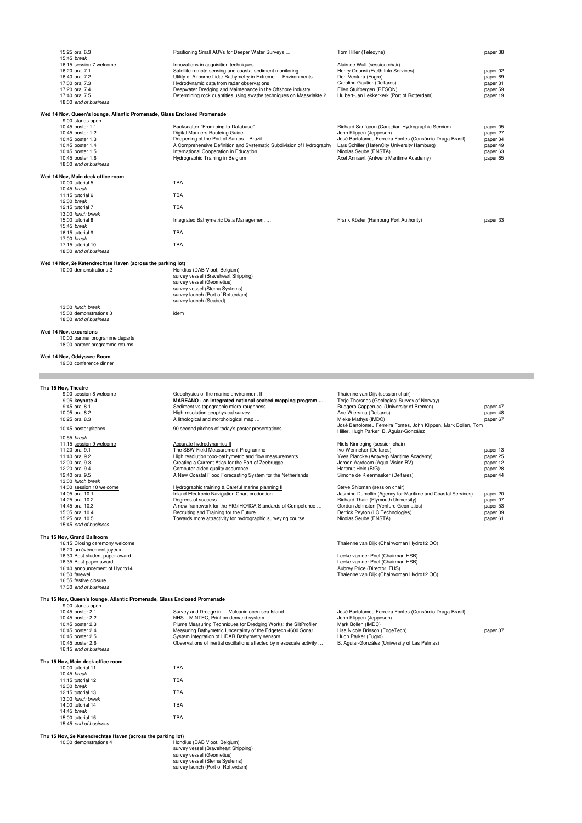| 15:25 oral 6.3                                                           | Positioning Small AUVs for Deeper Water Surveys                      | Tom Hiller (Teledyne)                                           | paper 38 |
|--------------------------------------------------------------------------|----------------------------------------------------------------------|-----------------------------------------------------------------|----------|
| 15:45 break                                                              |                                                                      |                                                                 |          |
| 16:15 session 7 welcome                                                  | Innovations in acquisition techniques                                | Alain de Wulf (session chair)                                   |          |
| 16:20 oral 7.1                                                           | Satellite remote sensing and coastal sediment monitoring             | Henry Odunsi (Earth Info Services)                              | paper 02 |
| 16:40 oral 7.2                                                           | Utility of Airborne Lidar Bathymetry in Extreme  Environments        | Don Ventura (Fugro)                                             | paper 69 |
| 17:00 oral 7.3                                                           | Hydrodynamic data from radar observations                            | Caroline Gautier (Deltares)                                     | paper 31 |
| 17:20 oral 7.4                                                           | Deepwater Dredging and Maintenance in the Offshore industry          | Ellen Stuifbergen (RESON)                                       | paper 59 |
| 17:40 oral 7.5                                                           | Determining rock quantities using swathe techniques on Maasvlakte 2  |                                                                 |          |
|                                                                          |                                                                      | Huibert-Jan Lekkerkerk (Port of Rotterdam)                      | paper 19 |
| 18:00 end of business                                                    |                                                                      |                                                                 |          |
|                                                                          |                                                                      |                                                                 |          |
| Wed 14 Nov, Queen's lounge, Atlantic Promenade, Glass Enclosed Promenade |                                                                      |                                                                 |          |
| 9:00 stands open                                                         |                                                                      |                                                                 |          |
| 10:45 poster 1.1                                                         | Backscatter "From ping to Database"                                  | Richard Sanfaçon (Canadian Hydrographic Service)                | paper 05 |
| 10:45 poster 1.2                                                         | Digital Mariners Routeing Guide                                      | John Klippen (Jeppesen)                                         | paper 27 |
| 10:45 poster 1.3                                                         | Deepening of the Port of Santos - Brazil                             | José Bartolomeu Ferreira Fontes (Consórcio Draga Brasil)        | paper 34 |
| 10:45 poster 1.4                                                         | A Comprehensive Definition and Systematic Subdivision of Hydrography | Lars Schiller (HafenCity University Hamburg)                    | paper 49 |
| 10:45 poster 1.5                                                         | International Cooperation in Education                               | Nicolas Seube (ENSTA)                                           | paper 63 |
|                                                                          |                                                                      |                                                                 |          |
| 10:45 poster 1.6                                                         | Hydrographic Training in Belgium                                     | Axel Annaert (Antwerp Maritime Academy)                         | paper 65 |
| 18:00 end of business                                                    |                                                                      |                                                                 |          |
|                                                                          |                                                                      |                                                                 |          |
| Wed 14 Nov, Main deck office room                                        |                                                                      |                                                                 |          |
| 10:00 tutorial 5                                                         | <b>TBA</b>                                                           |                                                                 |          |
| 10:45 break                                                              |                                                                      |                                                                 |          |
| $11:15$ tutorial 6                                                       | <b>TBA</b>                                                           |                                                                 |          |
| 12:00 break                                                              |                                                                      |                                                                 |          |
| 12:15 tutorial 7                                                         | <b>TBA</b>                                                           |                                                                 |          |
| 13:00 lunch break                                                        |                                                                      |                                                                 |          |
| 15:00 tutorial 8                                                         | Integrated Bathymetric Data Management                               | Frank Köster (Hamburg Port Authority)                           | paper 33 |
|                                                                          |                                                                      |                                                                 |          |
| 15:45 break                                                              |                                                                      |                                                                 |          |
| 16:15 tutorial 9                                                         | <b>TBA</b>                                                           |                                                                 |          |
| 17:00 break                                                              |                                                                      |                                                                 |          |
| 17:15 tutorial 10                                                        | <b>TBA</b>                                                           |                                                                 |          |
| 18:00 end of business                                                    |                                                                      |                                                                 |          |
|                                                                          |                                                                      |                                                                 |          |
| Wed 14 Nov, 2e Katendrechtse Haven (across the parking lot)              |                                                                      |                                                                 |          |
| 10:00 demonstrations 2                                                   | Hondius (DAB Vloot, Belgium)                                         |                                                                 |          |
|                                                                          | survey vessel (Braveheart Shipping)                                  |                                                                 |          |
|                                                                          |                                                                      |                                                                 |          |
|                                                                          | survey vessel (Geometius)                                            |                                                                 |          |
|                                                                          | survey vessel (Stema Systems)                                        |                                                                 |          |
|                                                                          | survey launch (Port of Rotterdam)                                    |                                                                 |          |
|                                                                          | survey launch (Seabed)                                               |                                                                 |          |
| 13:00 lunch break                                                        |                                                                      |                                                                 |          |
| 15:00 demonstrations 3                                                   | idem                                                                 |                                                                 |          |
| 18:00 end of business                                                    |                                                                      |                                                                 |          |
|                                                                          |                                                                      |                                                                 |          |
| Wed 14 Nov, excursions                                                   |                                                                      |                                                                 |          |
| 10:00 partner programme departs                                          |                                                                      |                                                                 |          |
| 18:00 partner programme returns                                          |                                                                      |                                                                 |          |
|                                                                          |                                                                      |                                                                 |          |
|                                                                          |                                                                      |                                                                 |          |
| Wed 14 Nov, Oddyssee Room                                                |                                                                      |                                                                 |          |
| 19:00 conference dinner                                                  |                                                                      |                                                                 |          |
|                                                                          |                                                                      |                                                                 |          |
|                                                                          |                                                                      |                                                                 |          |
|                                                                          |                                                                      |                                                                 |          |
| Thu 15 Nov, Theatre                                                      |                                                                      |                                                                 |          |
| 9:00 session 8 welcome                                                   | Geophysics of the marine environment II                              | Thaienne van Dijk (session chair)                               |          |
| 9:05 keynote 4                                                           | MAREANO - an integrated national seabed mapping program              | Terie Thorsnes (Geological Survey of Norway)                    |          |
| 9:45 oral 8.1                                                            | Sediment vs topographic micro-roughness                              | Ruggero Capperucci (University of Bremen)                       | paper 47 |
| 10:05 oral 8.2                                                           | High-resolution geophysical survey                                   | Ane Wiersma (Deltares)                                          | paper 48 |
| 10:25 oral 8.3                                                           | A lithological and morphological map                                 | Mieke Mathys (IMDC)                                             | paper 67 |
|                                                                          |                                                                      | José Bartolomeu Ferreira Fontes, John Klippen, Mark Bollen, Tom |          |
| 10:45 poster pitches                                                     | 90 second pitches of today's poster presentations                    |                                                                 |          |
|                                                                          |                                                                      | Hiller, Hugh Parker, B. Aguiar-González                         |          |
| 10:55 break                                                              |                                                                      |                                                                 |          |
| 11:15 session 9 welcome                                                  | Accurate hydrodynamics II                                            | Niels Kinneging (session chair)                                 |          |
| 11:20 oral 9.1                                                           | The SBW Field Measurement Programme                                  | Ivo Wenneker (Deltares)                                         | paper 13 |
| 11:40 oral 9.2                                                           | High resolution topo-bathymetric and flow measurements               | Yves Plancke (Antwerp Maritime Academy)                         | paper 25 |
| 12:00 oral 9.3                                                           | Creating a Current Atlas for the Port of Zeebrugge                   | Jeroen Aardoom (Aqua Vision BV)                                 | paper 12 |
| 12:20 oral 9.4                                                           | Computer-aided quality assurance                                     | Hartmut Hein (BfG)                                              | paper 28 |
|                                                                          |                                                                      |                                                                 |          |

12:40 oral 9.5 **AN A New Coastal Flood Forecasting System for the Netherlands** Simone de Kleermaeker (Deltares) paper 44 13:00 lunch break<br>14:00 session 10 welcome 14:00 session 10 welcome Hydrographic training & Careful marine planning II Steve Shipman (session chair)<br>14:05 oral 10.1 Jasmine Dumollin (Agency for Number of Indiand Electronic Navigation Chart production ... 14:05 oral 10.1 11:05 oral 10.1 14:05 oral 10.1 14:05 oral 10.1 Inland Electronic Navigation Chart production …<br>14:25 oral 10.2 14:25 oral 10.2 14:25 oral 10.2 paper 07 14:25 oral 10.2 **14:25 oral 10.2** Degrees of success …<br>14:45 oral 10.3 **Annewark for the FIG/IHO/ICA Standards of Competence … Gordon Johnston (Venture Geomatics)** paper 53 14:45 oral 10.3 **A new framework for the FIG/IHO/ICA Standards of Competence ...** Gordon Johnston (Venture Geomatics) paper 53 paper 53<br>15:05 oral 10.4 **15:05** oral 10.4 **Recruiting and Training for the Future ...** Derrick 15:05 oral 10.4 **15:05** oral 10.4 Recruiting and Training for the Future … Derrick Peyton (IIC Technologies) paper 09 paper 09<br>15:25 oral 10.5 **15:25** oral 10.5 **Paper 61** Deverts Towards more attractivity for hydrographic 15:45 end of business

П

10:00 demonstrations 4 Hondius (DAB Vloot, Belgium) survey vessel (Braveheart Shipping) survey vessel (Geometius) survey vessel (Stema Systems) survey launch (Port of Rotterdam)

Plume Measuring Techniques for Dredging Works: the SiltProfiler Mark Bollen (IMDC)<br>
Measuring Bathymetric Uncertainty of the Edgetech 4600 Sonar Lisa Nicole Brisson (EdgeTech) 10:45 Measuring Bathymetric Uncertainty of the Edgetech 4600 Sonar Lisa Nicole Brisson (EdgeTech)<br>10:45 System integration of LiDAR Bathymetry sensors ... Hugh Parker (Fugro) 10:45 System integration of LiDAR Bathymetry sensors ... hugh Parker (Fugro)<br>10:45 poservations of inertial oscillations affected by mesoscale activity ... B. Aguiar-González (University of Las Palmas)

Thaienne van Dijk (Chairwoman Hydro12 OC)

Thaienne van Dijk (Chairwoman Hydro12 OC)

Leeke van der Poel (Chairman HSB)<br>Aubrey Price (Director IFHS)

- **Thu 15 Nov, Grand Ballroom** 16:20 un événement joyeux<br>16:30 Best student paper award 16:30 Best student paper award Leeke van der Poel (Chairman HSB) 16:40 announcement of Hydro14<br>16:50 farewell
	- 16:55 festive closure
	- 17:30 end of business

9:00 stands open<br>10:45 poster 2.1

**Thu 15 Nov, Queen's lounge, Atlantic Promenade, Glass Enclosed Promenade**

10:45 - MINTEC, Print on demand system and system John Klippen (Jeppen (Jeppen)<br>Plume Measuring Techniques for Dredging Works: the SiltProfiler Mark Bollen (IMDC)

1, Observations of inertial oscillations affected by mesoscale activity ...

Towards more attractivity for hydrographic surveying course ...

10:45 poster 2.1 Survey and Dredge in … Vulcanic open sea Island … José Bartolomeu Ferreira Fontes (Consórcio Draga Brasil)<br>10:45 poster 2.2 Consórcio Draga Brasil) NHS – MINTEC, Print on demand system Statem Mannes John K

| 10:45 poster 2.3      |
|-----------------------|
| 10:45 poster 2.4      |
| 10:45 poster 2.5      |
| 10:45 poster 2.6      |
| 16:15 end of business |

#### **Thu 15 Nov, Main deck office room**

| $10:00$ futorial $11$ | TRA |
|-----------------------|-----|
| $10:45$ break         |     |
| 11:15 tutorial 12     | TBA |
| $12:00$ break         |     |
| 12:15 tutorial 13     | TBA |
| 13:00 lunch break     |     |
| 14:00 tutorial 14     | TBA |
| 14:45 break           |     |
| 15:00 tutorial 15     | TBA |
| 15:45 end of business |     |
|                       |     |

# **Thu 15 Nov, 2e Katendrechtse Haven (across the parking lot)**<br>10:00 demonstrations 4 Hondi